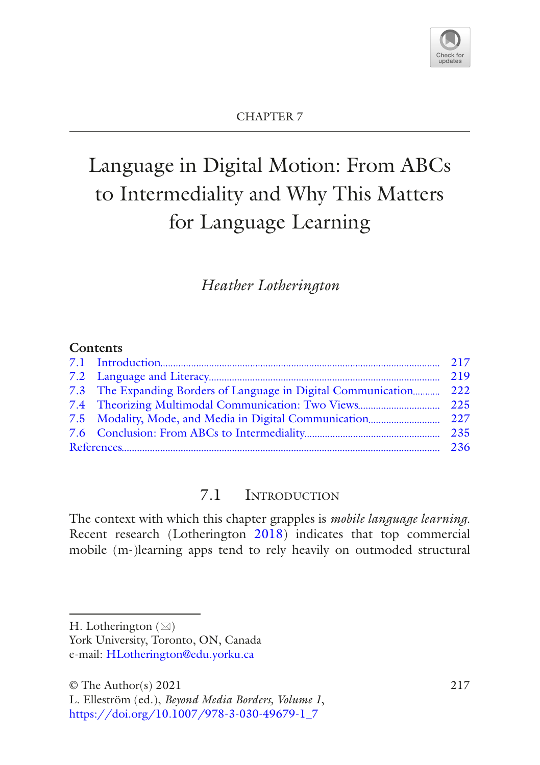

# Language in Digital Motion: From ABCs to Intermediality and Why This Matters for Language Learning

*Heather Lotherington*

#### **Contents**

## <span id="page-0-0"></span>7.1 Introduction

The context with which this chapter grapples is *mobile language learning*. Recent research (Lotherington [2018](#page-21-0)) indicates that top commercial mobile (m-)learning apps tend to rely heavily on outmoded structural

York University, Toronto, ON, Canada

H. Lotherington  $(\boxtimes)$ 

e-mail: [HLotherington@edu.yorku.ca](mailto:HLotherington@edu.yorku.ca)

 $\degree$  The Author(s) 2021 217

L. Elleström (ed.), *Beyond Media Borders, Volume 1*, [https://doi.org/10.1007/978-3-030-49679-1\\_7](https://doi.org/10.1007/978-3-030-49679-1_7#DOI)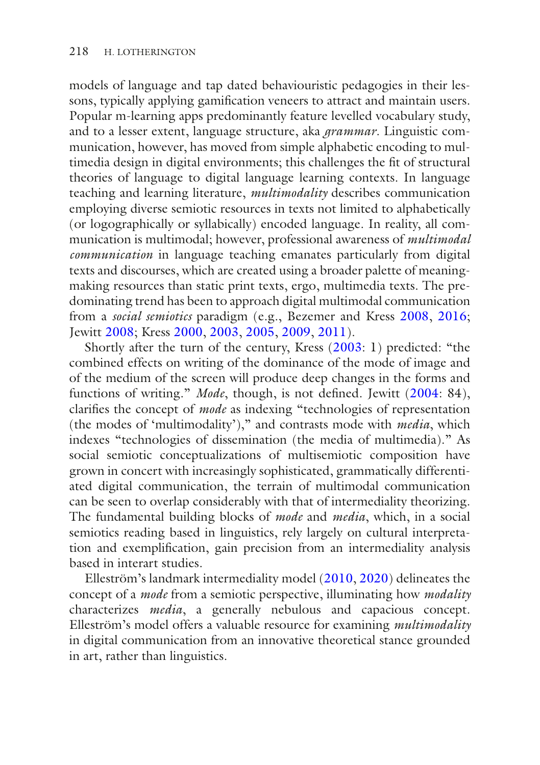models of language and tap dated behaviouristic pedagogies in their lessons, typically applying gamification veneers to attract and maintain users. Popular m-learning apps predominantly feature levelled vocabulary study, and to a lesser extent, language structure, aka *grammar*. Linguistic communication, however, has moved from simple alphabetic encoding to multimedia design in digital environments; this challenges the fit of structural theories of language to digital language learning contexts. In language teaching and learning literature, *multimodality* describes communication employing diverse semiotic resources in texts not limited to alphabetically (or logographically or syllabically) encoded language. In reality, all communication is multimodal; however, professional awareness of *multimodal communication* in language teaching emanates particularly from digital texts and discourses, which are created using a broader palette of meaningmaking resources than static print texts, ergo, multimedia texts. The predominating trend has been to approach digital multimodal communication from a *social semiotics* paradigm (e.g., Bezemer and Kress [2008](#page-19-1), [2016;](#page-19-2) Jewitt [2008](#page-20-0); Kress [2000,](#page-20-1) [2003,](#page-20-2) [2005,](#page-20-3) [2009,](#page-20-4) [2011\)](#page-20-5).

Shortly after the turn of the century, Kress ([2003](#page-20-2): 1) predicted: "the combined effects on writing of the dominance of the mode of image and of the medium of the screen will produce deep changes in the forms and functions of writing." *Mode*, though, is not defined. Jewitt ([2004](#page-20-6): 84), clarifies the concept of *mode* as indexing "technologies of representation (the modes of 'multimodality')," and contrasts mode with *media*, which indexes "technologies of dissemination (the media of multimedia)." As social semiotic conceptualizations of multisemiotic composition have grown in concert with increasingly sophisticated, grammatically differentiated digital communication, the terrain of multimodal communication can be seen to overlap considerably with that of intermediality theorizing. The fundamental building blocks of *mode* and *media*, which, in a social semiotics reading based in linguistics, rely largely on cultural interpretation and exemplification, gain precision from an intermediality analysis based in interart studies.

Elleström's landmark intermediality model ([2010](#page-20-7), [2020\)](#page-20-8) delineates the concept of a *mode* from a semiotic perspective, illuminating how *modality* characterizes *media*, a generally nebulous and capacious concept. Elleström's model offers a valuable resource for examining *multimodality* in digital communication from an innovative theoretical stance grounded in art, rather than linguistics.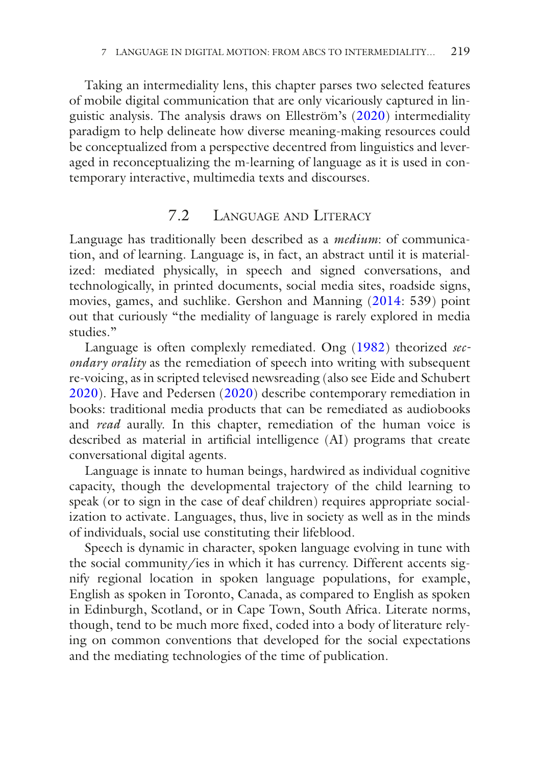Taking an intermediality lens, this chapter parses two selected features of mobile digital communication that are only vicariously captured in linguistic analysis. The analysis draws on Elleström's [\(2020](#page-20-8)) intermediality paradigm to help delineate how diverse meaning-making resources could be conceptualized from a perspective decentred from linguistics and leveraged in reconceptualizing the m-learning of language as it is used in contemporary interactive, multimedia texts and discourses.

## <span id="page-2-0"></span>7.2 Language and Literacy

Language has traditionally been described as a *medium*: of communication, and of learning. Language is, in fact, an abstract until it is materialized: mediated physically, in speech and signed conversations, and technologically, in printed documents, social media sites, roadside signs, movies, games, and suchlike. Gershon and Manning [\(2014:](#page-20-9) 539) point out that curiously "the mediality of language is rarely explored in media studies."

Language is often complexly remediated. Ong [\(1982](#page-21-1)) theorized *secondary orality* as the remediation of speech into writing with subsequent re-voicing, as in scripted televised newsreading (also see Eide and Schubert [2020](#page-19-3)). Have and Pedersen [\(2020\)](#page-20-10) describe contemporary remediation in books: traditional media products that can be remediated as audiobooks and *read* aurally. In this chapter, remediation of the human voice is described as material in artificial intelligence (AI) programs that create conversational digital agents.

Language is innate to human beings, hardwired as individual cognitive capacity, though the developmental trajectory of the child learning to speak (or to sign in the case of deaf children) requires appropriate socialization to activate. Languages, thus, live in society as well as in the minds of individuals, social use constituting their lifeblood.

Speech is dynamic in character, spoken language evolving in tune with the social community/ies in which it has currency. Different accents signify regional location in spoken language populations, for example, English as spoken in Toronto, Canada, as compared to English as spoken in Edinburgh, Scotland, or in Cape Town, South Africa. Literate norms, though, tend to be much more fixed, coded into a body of literature relying on common conventions that developed for the social expectations and the mediating technologies of the time of publication.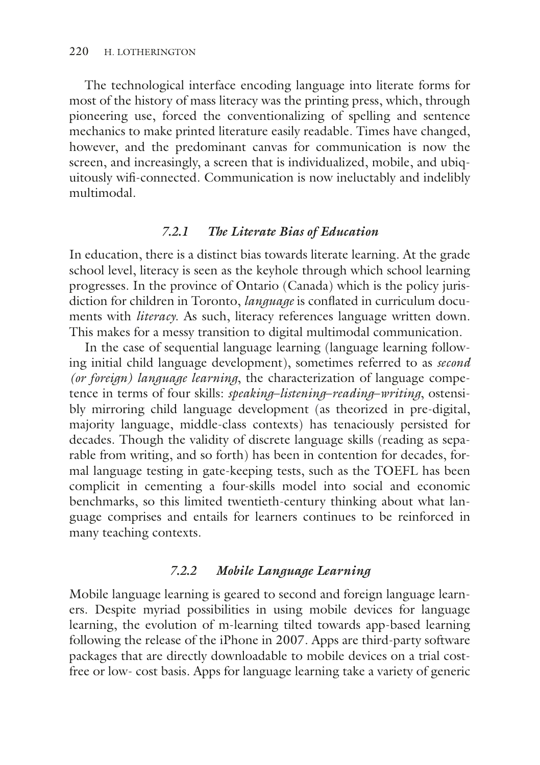The technological interface encoding language into literate forms for most of the history of mass literacy was the printing press, which, through pioneering use, forced the conventionalizing of spelling and sentence mechanics to make printed literature easily readable. Times have changed, however, and the predominant canvas for communication is now the screen, and increasingly, a screen that is individualized, mobile, and ubiquitously wifi-connected. Communication is now ineluctably and indelibly multimodal.

## *7.2.1 The Literate Bias of Education*

In education, there is a distinct bias towards literate learning. At the grade school level, literacy is seen as the keyhole through which school learning progresses. In the province of Ontario (Canada) which is the policy jurisdiction for children in Toronto, *language* is conflated in curriculum documents with *literacy*. As such, literacy references language written down. This makes for a messy transition to digital multimodal communication.

In the case of sequential language learning (language learning following initial child language development), sometimes referred to as *second (or foreign) language learning*, the characterization of language competence in terms of four skills: *speaking*–*listening*–*reading*–*writing*, ostensibly mirroring child language development (as theorized in pre-digital, majority language, middle-class contexts) has tenaciously persisted for decades. Though the validity of discrete language skills (reading as separable from writing, and so forth) has been in contention for decades, formal language testing in gate-keeping tests, such as the TOEFL has been complicit in cementing a four-skills model into social and economic benchmarks, so this limited twentieth-century thinking about what language comprises and entails for learners continues to be reinforced in many teaching contexts.

## *7.2.2 Mobile Language Learning*

Mobile language learning is geared to second and foreign language learners. Despite myriad possibilities in using mobile devices for language learning, the evolution of m-learning tilted towards app-based learning following the release of the iPhone in 2007. Apps are third-party software packages that are directly downloadable to mobile devices on a trial costfree or low- cost basis. Apps for language learning take a variety of generic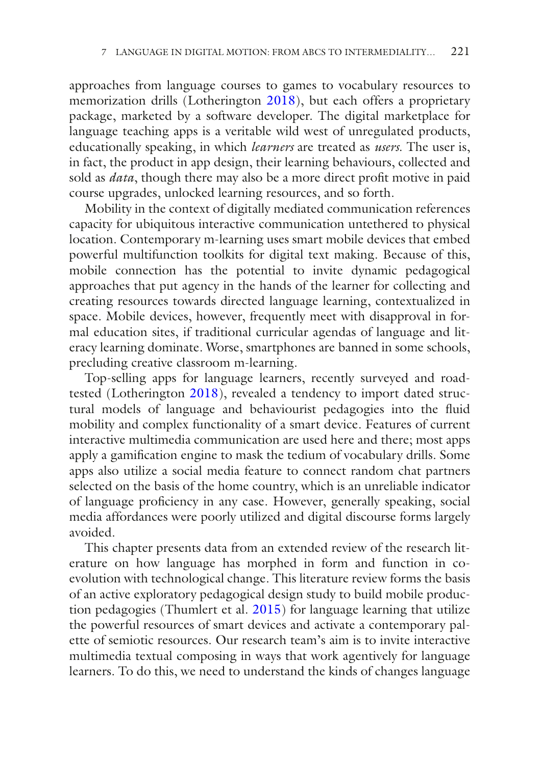approaches from language courses to games to vocabulary resources to memorization drills (Lotherington [2018\)](#page-21-0), but each offers a proprietary package, marketed by a software developer. The digital marketplace for language teaching apps is a veritable wild west of unregulated products, educationally speaking, in which *learners* are treated as *users*. The user is, in fact, the product in app design, their learning behaviours, collected and sold as *data*, though there may also be a more direct profit motive in paid course upgrades, unlocked learning resources, and so forth.

Mobility in the context of digitally mediated communication references capacity for ubiquitous interactive communication untethered to physical location. Contemporary m-learning uses smart mobile devices that embed powerful multifunction toolkits for digital text making. Because of this, mobile connection has the potential to invite dynamic pedagogical approaches that put agency in the hands of the learner for collecting and creating resources towards directed language learning, contextualized in space. Mobile devices, however, frequently meet with disapproval in formal education sites, if traditional curricular agendas of language and literacy learning dominate. Worse, smartphones are banned in some schools, precluding creative classroom m-learning.

Top-selling apps for language learners, recently surveyed and roadtested (Lotherington [2018\)](#page-21-0), revealed a tendency to import dated structural models of language and behaviourist pedagogies into the fluid mobility and complex functionality of a smart device. Features of current interactive multimedia communication are used here and there; most apps apply a gamification engine to mask the tedium of vocabulary drills. Some apps also utilize a social media feature to connect random chat partners selected on the basis of the home country, which is an unreliable indicator of language proficiency in any case. However, generally speaking, social media affordances were poorly utilized and digital discourse forms largely avoided.

This chapter presents data from an extended review of the research literature on how language has morphed in form and function in coevolution with technological change. This literature review forms the basis of an active exploratory pedagogical design study to build mobile production pedagogies (Thumlert et al. [2015\)](#page-21-2) for language learning that utilize the powerful resources of smart devices and activate a contemporary palette of semiotic resources. Our research team's aim is to invite interactive multimedia textual composing in ways that work agentively for language learners. To do this, we need to understand the kinds of changes language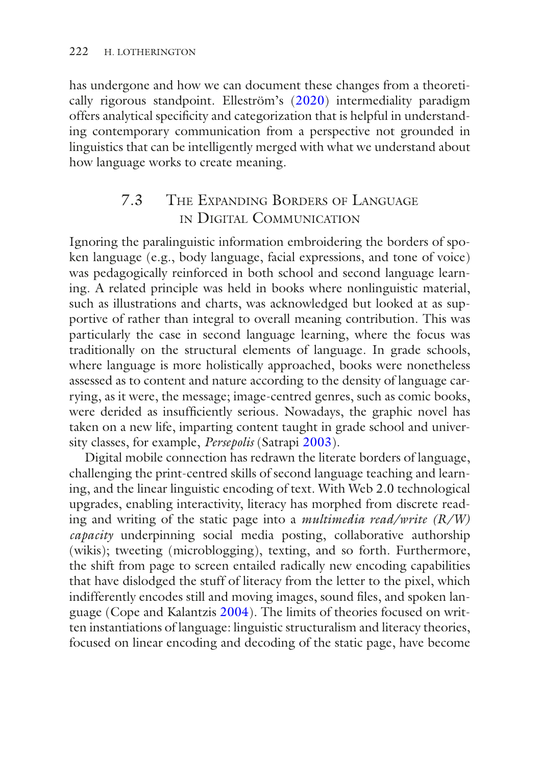has undergone and how we can document these changes from a theoretically rigorous standpoint. Elleström's ([2020](#page-20-8)) intermediality paradigm offers analytical specificity and categorization that is helpful in understanding contemporary communication from a perspective not grounded in linguistics that can be intelligently merged with what we understand about how language works to create meaning.

# <span id="page-5-0"></span>7.3 The Expanding Borders of Language in Digital Communication

Ignoring the paralinguistic information embroidering the borders of spoken language (e.g., body language, facial expressions, and tone of voice) was pedagogically reinforced in both school and second language learning. A related principle was held in books where nonlinguistic material, such as illustrations and charts, was acknowledged but looked at as supportive of rather than integral to overall meaning contribution. This was particularly the case in second language learning, where the focus was traditionally on the structural elements of language. In grade schools, where language is more holistically approached, books were nonetheless assessed as to content and nature according to the density of language carrying, as it were, the message; image-centred genres, such as comic books, were derided as insufficiently serious. Nowadays, the graphic novel has taken on a new life, imparting content taught in grade school and university classes, for example, *Persepolis* (Satrapi [2003\)](#page-21-3).

Digital mobile connection has redrawn the literate borders of language, challenging the print-centred skills of second language teaching and learning, and the linear linguistic encoding of text. With Web 2.0 technological upgrades, enabling interactivity, literacy has morphed from discrete reading and writing of the static page into a *multimedia read/write (R/W) capacity* underpinning social media posting, collaborative authorship (wikis); tweeting (microblogging), texting, and so forth. Furthermore, the shift from page to screen entailed radically new encoding capabilities that have dislodged the stuff of literacy from the letter to the pixel, which indifferently encodes still and moving images, sound files, and spoken language (Cope and Kalantzis [2004](#page-19-4)). The limits of theories focused on written instantiations of language: linguistic structuralism and literacy theories, focused on linear encoding and decoding of the static page, have become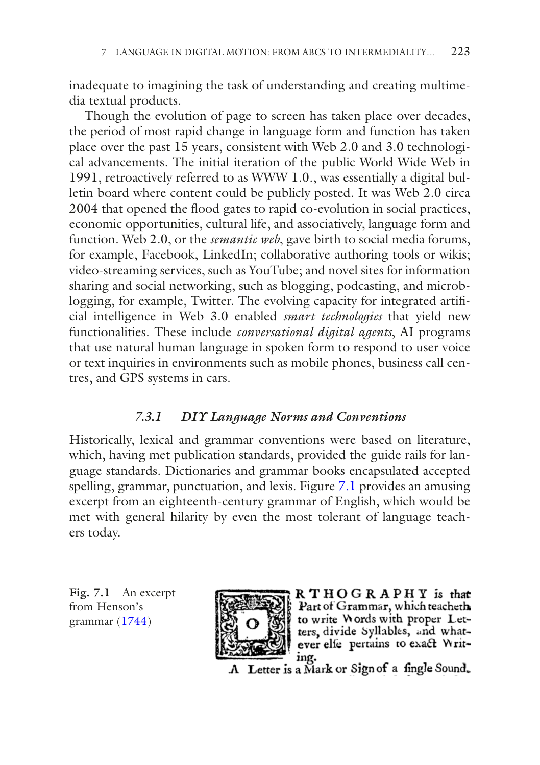inadequate to imagining the task of understanding and creating multimedia textual products.

Though the evolution of page to screen has taken place over decades, the period of most rapid change in language form and function has taken place over the past 15 years, consistent with Web 2.0 and 3.0 technological advancements. The initial iteration of the public World Wide Web in 1991, retroactively referred to as WWW 1.0., was essentially a digital bulletin board where content could be publicly posted. It was Web 2.0 circa 2004 that opened the flood gates to rapid co-evolution in social practices, economic opportunities, cultural life, and associatively, language form and function. Web 2.0, or the *semantic web*, gave birth to social media forums, for example, Facebook, LinkedIn; collaborative authoring tools or wikis; video-streaming services, such as YouTube; and novel sites for information sharing and social networking, such as blogging, podcasting, and microblogging, for example, Twitter. The evolving capacity for integrated artificial intelligence in Web 3.0 enabled *smart technologies* that yield new functionalities. These include *conversational digital agents*, AI programs that use natural human language in spoken form to respond to user voice or text inquiries in environments such as mobile phones, business call centres, and GPS systems in cars.

#### *7.3.1 DIY Language Norms and Conventions*

Historically, lexical and grammar conventions were based on literature, which, having met publication standards, provided the guide rails for language standards. Dictionaries and grammar books encapsulated accepted spelling, grammar, punctuation, and lexis. Figure [7.1](#page-6-0) provides an amusing excerpt from an eighteenth-century grammar of English, which would be met with general hilarity by even the most tolerant of language teachers today.

<span id="page-6-0"></span>**Fig. 7.1** An excerpt from Henson's grammar [\(1744](#page-20-11))



RTHOGRAPHY is that Part of Grammar, which teacheth to write Words with proper Letters, divide Syllables, and whatever elfe pertains to exact Writing.

A Letter is a Mark or Sign of a fingle Sound.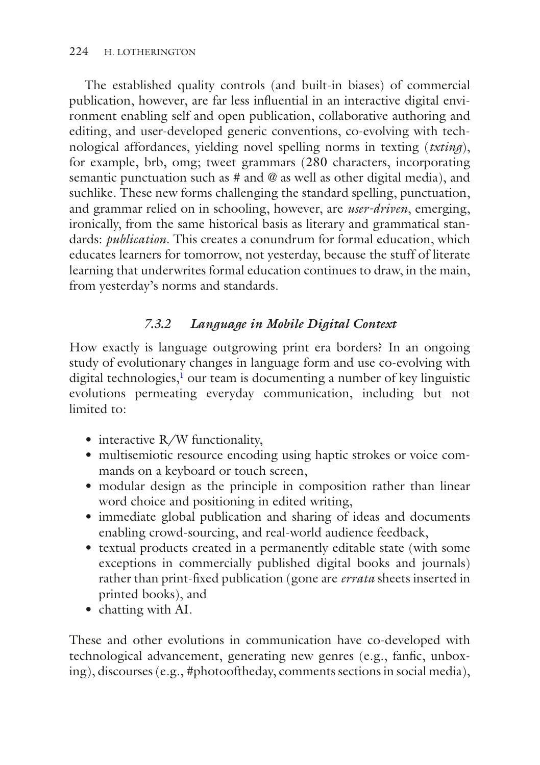The established quality controls (and built-in biases) of commercial publication, however, are far less influential in an interactive digital environment enabling self and open publication, collaborative authoring and editing, and user-developed generic conventions, co-evolving with technological affordances, yielding novel spelling norms in texting (*txting*), for example, brb, omg; tweet grammars (280 characters, incorporating semantic punctuation such as # and @ as well as other digital media), and suchlike. These new forms challenging the standard spelling, punctuation, and grammar relied on in schooling, however, are *user-driven*, emerging, ironically, from the same historical basis as literary and grammatical standards: *publication*. This creates a conundrum for formal education, which educates learners for tomorrow, not yesterday, because the stuff of literate learning that underwrites formal education continues to draw, in the main, from yesterday's norms and standards.

## *7.3.2 Language in Mobile Digital Context*

How exactly is language outgrowing print era borders? In an ongoing study of evolutionary changes in language form and use co-evolving with digital technologies, $\frac{1}{2}$  $\frac{1}{2}$  $\frac{1}{2}$  our team is documenting a number of key linguistic evolutions permeating everyday communication, including but not limited to:

- interactive R/W functionality,
- multisemiotic resource encoding using haptic strokes or voice commands on a keyboard or touch screen,
- modular design as the principle in composition rather than linear word choice and positioning in edited writing,
- immediate global publication and sharing of ideas and documents enabling crowd-sourcing, and real-world audience feedback,
- textual products created in a permanently editable state (with some exceptions in commercially published digital books and journals) rather than print-fixed publication (gone are *errata* sheets inserted in printed books), and
- chatting with AI.

These and other evolutions in communication have co-developed with technological advancement, generating new genres (e.g., fanfic, unboxing), discourses (e.g., #photooftheday, comments sections in social media),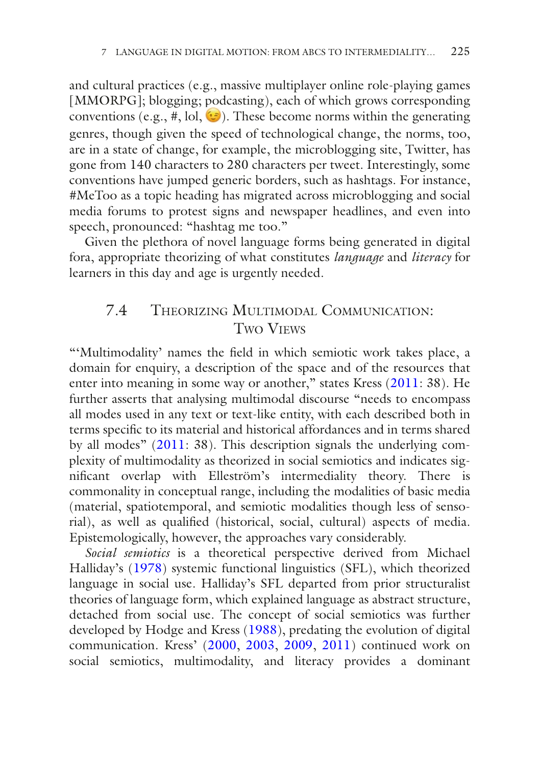and cultural practices (e.g., massive multiplayer online role-playing games [MMORPG]; blogging; podcasting), each of which grows corresponding conventions (e.g., #, lol,  $\ddot{\mathbf{G}}$ ). These become norms within the generating genres, though given the speed of technological change, the norms, too, are in a state of change, for example, the microblogging site, Twitter, has gone from 140 characters to 280 characters per tweet. Interestingly, some conventions have jumped generic borders, such as hashtags. For instance, #MeToo as a topic heading has migrated across microblogging and social media forums to protest signs and newspaper headlines, and even into speech, pronounced: "hashtag me too."

Given the plethora of novel language forms being generated in digital fora, appropriate theorizing of what constitutes *language* and *literacy* for learners in this day and age is urgently needed.

## <span id="page-8-0"></span>7.4 Theorizing Multimodal Communication: Two Views

"'Multimodality' names the field in which semiotic work takes place, a domain for enquiry, a description of the space and of the resources that enter into meaning in some way or another," states Kress ([2011:](#page-20-5) 38). He further asserts that analysing multimodal discourse "needs to encompass all modes used in any text or text-like entity, with each described both in terms specific to its material and historical affordances and in terms shared by all modes" ([2011](#page-20-5): 38). This description signals the underlying complexity of multimodality as theorized in social semiotics and indicates significant overlap with Elleström's intermediality theory. There is commonality in conceptual range, including the modalities of basic media (material, spatiotemporal, and semiotic modalities though less of sensorial), as well as qualified (historical, social, cultural) aspects of media. Epistemologically, however, the approaches vary considerably.

*Social semiotics* is a theoretical perspective derived from Michael Halliday's ([1978\)](#page-20-12) systemic functional linguistics (SFL), which theorized language in social use. Halliday's SFL departed from prior structuralist theories of language form, which explained language as abstract structure, detached from social use. The concept of social semiotics was further developed by Hodge and Kress [\(1988](#page-20-13)), predating the evolution of digital communication. Kress' [\(2000,](#page-20-1) [2003,](#page-20-2) [2009](#page-20-4), [2011\)](#page-20-5) continued work on social semiotics, multimodality, and literacy provides a dominant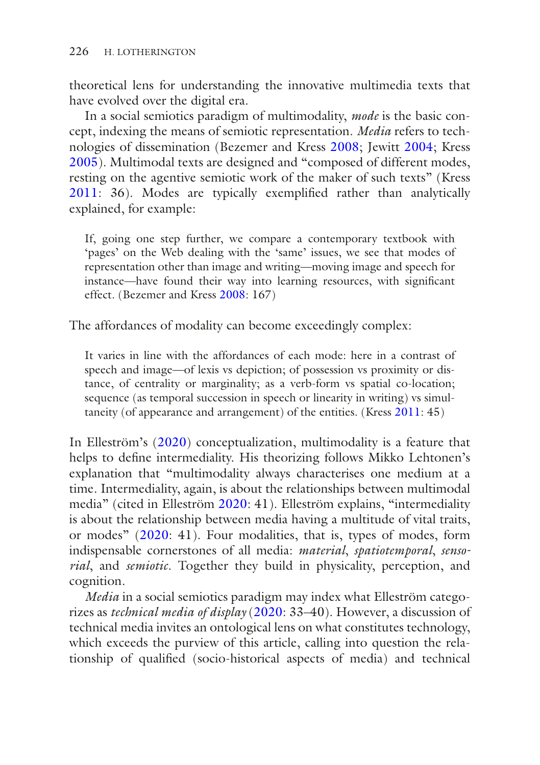theoretical lens for understanding the innovative multimedia texts that have evolved over the digital era.

In a social semiotics paradigm of multimodality, *mode* is the basic concept, indexing the means of semiotic representation. *Media* refers to technologies of dissemination (Bezemer and Kress [2008](#page-19-1); Jewitt [2004;](#page-20-6) Kress [2005](#page-20-3)). Multimodal texts are designed and "composed of different modes, resting on the agentive semiotic work of the maker of such texts" (Kress [2011](#page-20-5): 36). Modes are typically exemplified rather than analytically explained, for example:

If, going one step further, we compare a contemporary textbook with 'pages' on the Web dealing with the 'same' issues, we see that modes of representation other than image and writing—moving image and speech for instance—have found their way into learning resources, with significant effect. (Bezemer and Kress [2008:](#page-19-1) 167)

The affordances of modality can become exceedingly complex:

It varies in line with the affordances of each mode: here in a contrast of speech and image—of lexis vs depiction; of possession vs proximity or distance, of centrality or marginality; as a verb-form vs spatial co-location; sequence (as temporal succession in speech or linearity in writing) vs simultaneity (of appearance and arrangement) of the entities. (Kress [2011](#page-20-5): 45)

In Elleström's ([2020\)](#page-20-8) conceptualization, multimodality is a feature that helps to define intermediality. His theorizing follows Mikko Lehtonen's explanation that "multimodality always characterises one medium at a time. Intermediality, again, is about the relationships between multimodal media" (cited in Elleström [2020](#page-20-8): 41). Elleström explains, "intermediality is about the relationship between media having a multitude of vital traits, or modes" ([2020](#page-20-8): 41). Four modalities, that is, types of modes, form indispensable cornerstones of all media: *material*, *spatiotemporal*, *sensorial*, and *semiotic*. Together they build in physicality, perception, and cognition.

*Media* in a social semiotics paradigm may index what Elleström categorizes as *technical media of display* [\(2020:](#page-20-8) 33–40). However, a discussion of technical media invites an ontological lens on what constitutes technology, which exceeds the purview of this article, calling into question the relationship of qualified (socio-historical aspects of media) and technical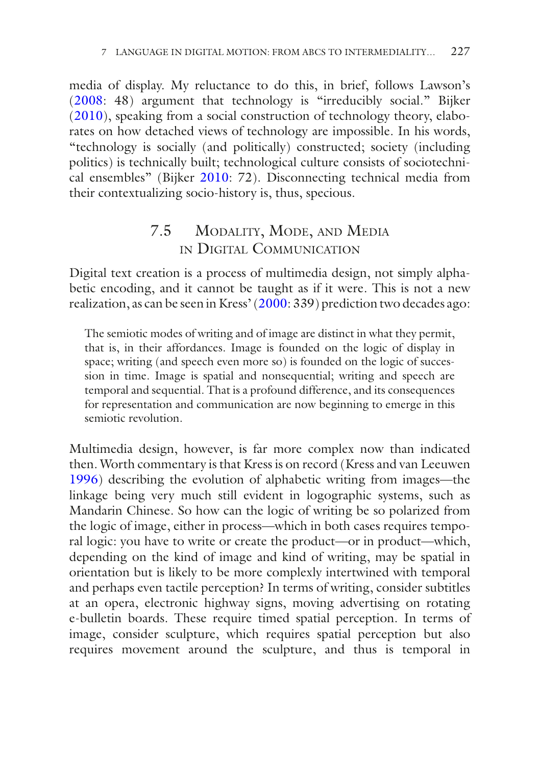media of display. My reluctance to do this, in brief, follows Lawson's ([2008](#page-20-14): 48) argument that technology is "irreducibly social." Bijker ([2010](#page-19-6)), speaking from a social construction of technology theory, elaborates on how detached views of technology are impossible. In his words, "technology is socially (and politically) constructed; society (including politics) is technically built; technological culture consists of sociotechnical ensembles" (Bijker [2010:](#page-19-6) 72). Disconnecting technical media from their contextualizing socio-history is, thus, specious.

## <span id="page-10-0"></span>7.5 Modality, Mode, and Media in Digital Communication

Digital text creation is a process of multimedia design, not simply alphabetic encoding, and it cannot be taught as if it were. This is not a new realization, as can be seen in Kress' ([2000](#page-20-1): 339) prediction two decades ago:

The semiotic modes of writing and of image are distinct in what they permit, that is, in their affordances. Image is founded on the logic of display in space; writing (and speech even more so) is founded on the logic of succession in time. Image is spatial and nonsequential; writing and speech are temporal and sequential. That is a profound difference, and its consequences for representation and communication are now beginning to emerge in this semiotic revolution.

Multimedia design, however, is far more complex now than indicated then. Worth commentary is that Kress is on record (Kress and van Leeuwen [1996](#page-20-15)) describing the evolution of alphabetic writing from images—the linkage being very much still evident in logographic systems, such as Mandarin Chinese. So how can the logic of writing be so polarized from the logic of image, either in process—which in both cases requires temporal logic: you have to write or create the product—or in product—which, depending on the kind of image and kind of writing, may be spatial in orientation but is likely to be more complexly intertwined with temporal and perhaps even tactile perception? In terms of writing, consider subtitles at an opera, electronic highway signs, moving advertising on rotating e-bulletin boards. These require timed spatial perception. In terms of image, consider sculpture, which requires spatial perception but also requires movement around the sculpture, and thus is temporal in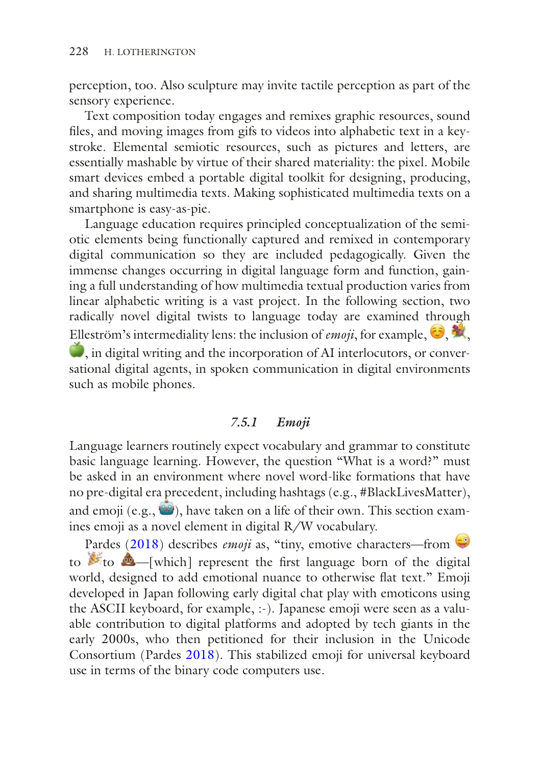perception, too. Also sculpture may invite tactile perception as part of the sensory experience.

Text composition today engages and remixes graphic resources, sound files, and moving images from gifs to videos into alphabetic text in a keystroke. Elemental semiotic resources, such as pictures and letters, are essentially mashable by virtue of their shared materiality: the pixel. Mobile smart devices embed a portable digital toolkit for designing, producing, and sharing multimedia texts. Making sophisticated multimedia texts on a smartphone is easy-as-pie.

Language education requires principled conceptualization of the semiotic elements being functionally captured and remixed in contemporary digital communication so they are included pedagogically. Given the immense changes occurring in digital language form and function, gaining a full understanding of how multimedia textual production varies from linear alphabetic writing is a vast project. In the following section, two radically novel digital twists to language today are examined through Elleström's intermediality lens: the inclusion of *emoji*, for example,  $\bigcirc$ , , , , in digital writing and the incorporation of AI interlocutors, or conversational digital agents, in spoken communication in digital environments such as mobile phones.

#### *7.5.1 Emoji*

Language learners routinely expect vocabulary and grammar to constitute basic language learning. However, the question "What is a word?" must be asked in an environment where novel word-like formations that have no pre-digital era precedent, including hashtags (e.g., #BlackLivesMatter), and emoji (e.g.,  $(2)$ ), have taken on a life of their own. This section examines emoji as a novel element in digital R/W vocabulary.

Pardes [\(2018\)](#page-21-4) describes *emoji* as, "tiny, emotive characters—from to  $\bullet$  –[which] represent the first language born of the digital world, designed to add emotional nuance to otherwise flat text." Emoji developed in Japan following early digital chat play with emoticons using the ASCII keyboard, for example, :-). Japanese emoji were seen as a valuable contribution to digital platforms and adopted by tech giants in the early 2000s, who then petitioned for their inclusion in the Unicode Consortium (Pardes [2018\)](#page-21-4). This stabilized emoji for universal keyboard use in terms of the binary code computers use.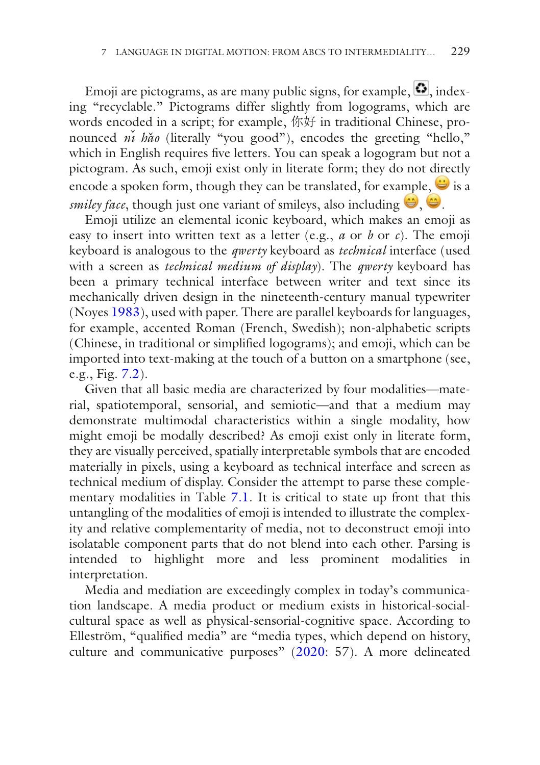Emoji are pictograms, as are many public signs, for example,  $\mathbb{C}$ , indexing "recyclable." Pictograms differ slightly from logograms, which are words encoded in a script; for example, 你好 in traditional Chinese, pronounced *ni ha*<sup>*o*</sup> (literally "you good"), encodes the greeting "hello," which in English requires five letters. You can speak a logogram but not a pictogram. As such, emoji exist only in literate form; they do not directly encode a spoken form, though they can be translated, for example,  $\ddot{\bullet}$  is a *smiley face*, though just one variant of smileys, also including  $\mathcal{Q}, \mathcal{Q}$ .

Emoji utilize an elemental iconic keyboard, which makes an emoji as easy to insert into written text as a letter (e.g.,  $\alpha$  or  $\beta$  or  $\alpha$ ). The emoji keyboard is analogous to the *qwerty* keyboard as *technical* interface (used with a screen as *technical medium of display*). The *qwerty* keyboard has been a primary technical interface between writer and text since its mechanically driven design in the nineteenth-century manual typewriter (Noyes [1983\)](#page-21-5), used with paper. There are parallel keyboards for languages, for example, accented Roman (French, Swedish); non-alphabetic scripts (Chinese, in traditional or simplified logograms); and emoji, which can be imported into text-making at the touch of a button on a smartphone (see, e.g., Fig. [7.2](#page-13-0)).

Given that all basic media are characterized by four modalities—material, spatiotemporal, sensorial, and semiotic—and that a medium may demonstrate multimodal characteristics within a single modality, how might emoji be modally described? As emoji exist only in literate form, they are visually perceived, spatially interpretable symbols that are encoded materially in pixels, using a keyboard as technical interface and screen as technical medium of display. Consider the attempt to parse these complementary modalities in Table [7.1.](#page-13-1) It is critical to state up front that this untangling of the modalities of emoji is intended to illustrate the complexity and relative complementarity of media, not to deconstruct emoji into isolatable component parts that do not blend into each other. Parsing is intended to highlight more and less prominent modalities in interpretation.

Media and mediation are exceedingly complex in today's communication landscape. A media product or medium exists in historical-socialcultural space as well as physical-sensorial-cognitive space. According to Elleström, "qualified media" are "media types, which depend on history, culture and communicative purposes" [\(2020:](#page-20-8) 57). A more delineated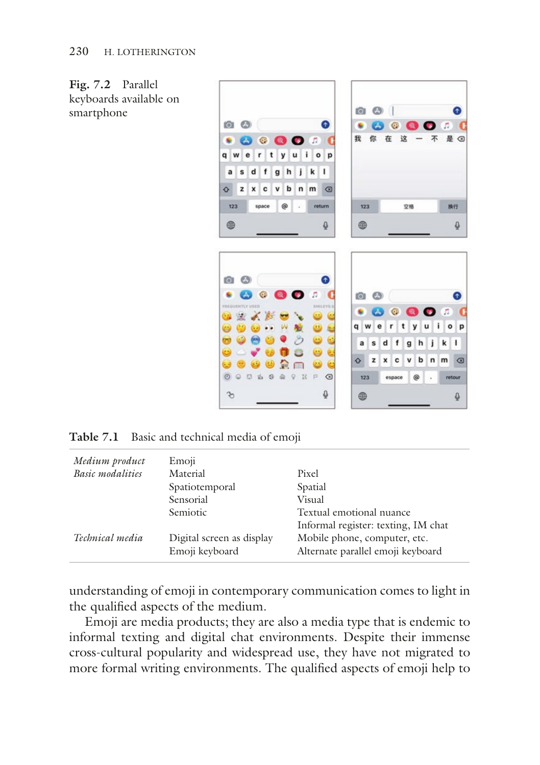<span id="page-13-0"></span>

<span id="page-13-1"></span>**Table 7.1** Basic and technical media of emoji

| Medium product   | Emoji                     |                                     |
|------------------|---------------------------|-------------------------------------|
| Basic modalities | Material                  | Pixel                               |
|                  | Spatiotemporal            | Spatial                             |
|                  | Sensorial                 | Visual                              |
|                  | <b>Semiotic</b>           | Textual emotional nuance            |
|                  |                           | Informal register: texting, IM chat |
| Technical media  | Digital screen as display | Mobile phone, computer, etc.        |
|                  | Emoji keyboard            | Alternate parallel emoji keyboard   |

understanding of emoji in contemporary communication comes to light in the qualified aspects of the medium.

Emoji are media products; they are also a media type that is endemic to informal texting and digital chat environments. Despite their immense cross-cultural popularity and widespread use, they have not migrated to more formal writing environments. The qualified aspects of emoji help to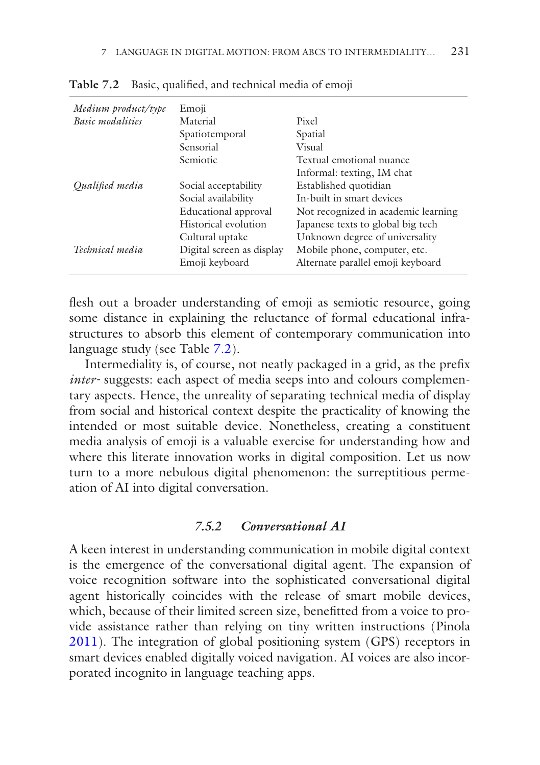| Medium product/type | Emoji                     |                                     |
|---------------------|---------------------------|-------------------------------------|
| Basic modalities    | Material                  | Pixel                               |
|                     | Spatiotemporal            | Spatial                             |
|                     | Sensorial                 | Visual                              |
|                     | Semiotic                  | Textual emotional nuance            |
|                     |                           | Informal: texting, IM chat          |
| Oualified media     | Social acceptability      | Established quotidian               |
|                     | Social availability       | In-built in smart devices           |
|                     | Educational approval      | Not recognized in academic learning |
|                     | Historical evolution      | Japanese texts to global big tech   |
|                     | Cultural uptake           | Unknown degree of universality      |
| Technical media     | Digital screen as display | Mobile phone, computer, etc.        |
|                     | Emoji keyboard            | Alternate parallel emoji keyboard   |

<span id="page-14-0"></span>**Table 7.2** Basic, qualified, and technical media of emoji

flesh out a broader understanding of emoji as semiotic resource, going some distance in explaining the reluctance of formal educational infrastructures to absorb this element of contemporary communication into language study (see Table [7.2](#page-14-0)).

Intermediality is, of course, not neatly packaged in a grid, as the prefix *inter-* suggests: each aspect of media seeps into and colours complementary aspects. Hence, the unreality of separating technical media of display from social and historical context despite the practicality of knowing the intended or most suitable device. Nonetheless, creating a constituent media analysis of emoji is a valuable exercise for understanding how and where this literate innovation works in digital composition. Let us now turn to a more nebulous digital phenomenon: the surreptitious permeation of AI into digital conversation.

#### *7.5.2 Conversational AI*

A keen interest in understanding communication in mobile digital context is the emergence of the conversational digital agent. The expansion of voice recognition software into the sophisticated conversational digital agent historically coincides with the release of smart mobile devices, which, because of their limited screen size, benefitted from a voice to provide assistance rather than relying on tiny written instructions (Pinola [2011](#page-21-6)). The integration of global positioning system (GPS) receptors in smart devices enabled digitally voiced navigation. AI voices are also incorporated incognito in language teaching apps.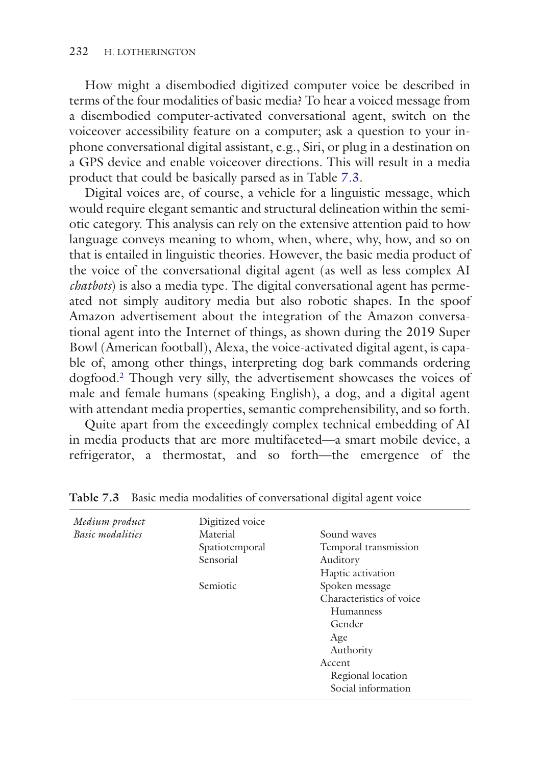How might a disembodied digitized computer voice be described in terms of the four modalities of basic media? To hear a voiced message from a disembodied computer-activated conversational agent, switch on the voiceover accessibility feature on a computer; ask a question to your inphone conversational digital assistant, e.g., Siri, or plug in a destination on a GPS device and enable voiceover directions. This will result in a media product that could be basically parsed as in Table [7.3](#page-15-0).

Digital voices are, of course, a vehicle for a linguistic message, which would require elegant semantic and structural delineation within the semiotic category. This analysis can rely on the extensive attention paid to how language conveys meaning to whom, when, where, why, how, and so on that is entailed in linguistic theories. However, the basic media product of the voice of the conversational digital agent (as well as less complex AI *chatbots*) is also a media type. The digital conversational agent has permeated not simply auditory media but also robotic shapes. In the spoof Amazon advertisement about the integration of the Amazon conversational agent into the Internet of things, as shown during the 2019 Super Bowl (American football), Alexa, the voice-activated digital agent, is capable of, among other things, interpreting dog bark commands ordering dogfood[.2](#page-19-7) Though very silly, the advertisement showcases the voices of male and female humans (speaking English), a dog, and a digital agent with attendant media properties, semantic comprehensibility, and so forth.

Quite apart from the exceedingly complex technical embedding of AI in media products that are more multifaceted—a smart mobile device, a refrigerator, a thermostat, and so forth—the emergence of the

| Medium product          | Digitized voice |                          |
|-------------------------|-----------------|--------------------------|
| <b>Basic modalities</b> | Material        | Sound waves              |
|                         | Spatiotemporal  | Temporal transmission    |
|                         | Sensorial       | Auditory                 |
|                         |                 | Haptic activation        |
|                         | Semiotic        | Spoken message           |
|                         |                 | Characteristics of voice |
|                         |                 | Humanness                |
|                         |                 | Gender                   |
|                         |                 | Age                      |
|                         |                 | Authority                |
|                         |                 | Accent                   |
|                         |                 | Regional location        |
|                         |                 | Social information       |

<span id="page-15-0"></span>**Table 7.3** Basic media modalities of conversational digital agent voice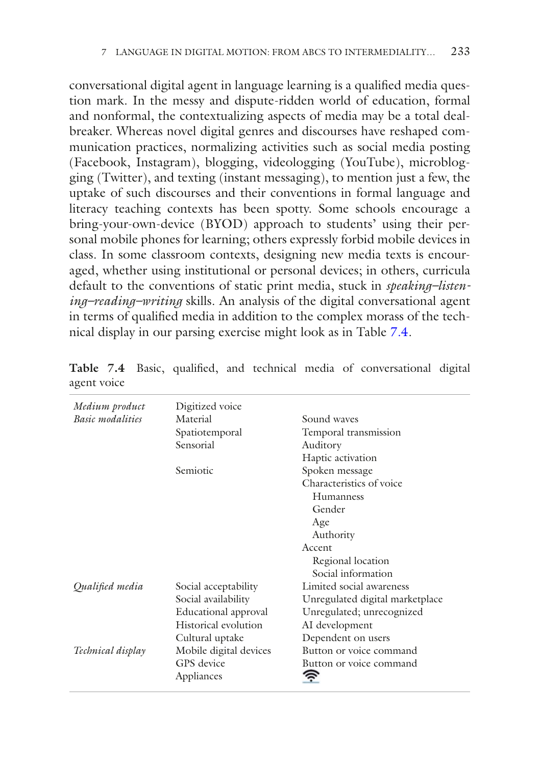conversational digital agent in language learning is a qualified media question mark. In the messy and dispute-ridden world of education, formal and nonformal, the contextualizing aspects of media may be a total dealbreaker. Whereas novel digital genres and discourses have reshaped communication practices, normalizing activities such as social media posting (Facebook, Instagram), blogging, videologging (YouTube), microblogging (Twitter), and texting (instant messaging), to mention just a few, the uptake of such discourses and their conventions in formal language and literacy teaching contexts has been spotty. Some schools encourage a bring-your-own-device (BYOD) approach to students' using their personal mobile phones for learning; others expressly forbid mobile devices in class. In some classroom contexts, designing new media texts is encouraged, whether using institutional or personal devices; in others, curricula default to the conventions of static print media, stuck in *speaking–listening–reading–writing* skills. An analysis of the digital conversational agent in terms of qualified media in addition to the complex morass of the technical display in our parsing exercise might look as in Table [7.4.](#page-16-0)

| Medium product          | Digitized voice        |                                 |
|-------------------------|------------------------|---------------------------------|
| <b>Basic modalities</b> | Material               | Sound waves                     |
|                         | Spatiotemporal         | Temporal transmission           |
|                         | Sensorial              | Auditory                        |
|                         |                        | Haptic activation               |
|                         | Semiotic               | Spoken message                  |
|                         |                        | Characteristics of voice        |
|                         |                        | Humanness                       |
|                         |                        | Gender                          |
|                         |                        | Age                             |
|                         |                        | Authority                       |
|                         |                        | Accent                          |
|                         |                        | Regional location               |
|                         |                        | Social information              |
| Qualified media         | Social acceptability   | Limited social awareness        |
|                         | Social availability    | Unregulated digital marketplace |
|                         | Educational approval   | Unregulated; unrecognized       |
|                         | Historical evolution   | AI development                  |
|                         | Cultural uptake        | Dependent on users              |
| Technical display       | Mobile digital devices | Button or voice command         |
|                         | GPS device             | Button or voice command         |
|                         | Appliances             |                                 |
|                         |                        |                                 |

<span id="page-16-0"></span>**Table 7.4** Basic, qualified, and technical media of conversational digital agent voice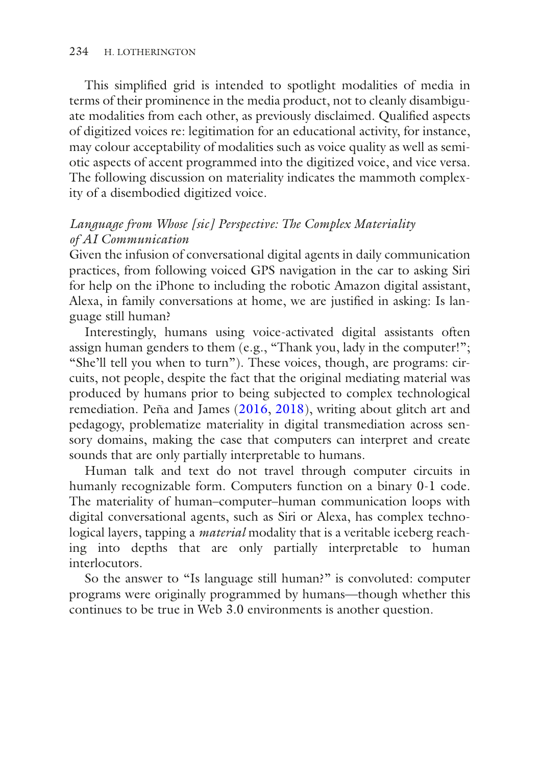This simplified grid is intended to spotlight modalities of media in terms of their prominence in the media product, not to cleanly disambiguate modalities from each other, as previously disclaimed. Qualified aspects of digitized voices re: legitimation for an educational activity, for instance, may colour acceptability of modalities such as voice quality as well as semiotic aspects of accent programmed into the digitized voice, and vice versa. The following discussion on materiality indicates the mammoth complexity of a disembodied digitized voice.

## *Language from Whose [sic] Perspective: The Complex Materiality of AI Communication*

Given the infusion of conversational digital agents in daily communication practices, from following voiced GPS navigation in the car to asking Siri for help on the iPhone to including the robotic Amazon digital assistant, Alexa, in family conversations at home, we are justified in asking: Is language still human?

Interestingly, humans using voice-activated digital assistants often assign human genders to them (e.g., "Thank you, lady in the computer!"; "She'll tell you when to turn"). These voices, though, are programs: circuits, not people, despite the fact that the original mediating material was produced by humans prior to being subjected to complex technological remediation. Peña and James ([2016](#page-21-7), [2018\)](#page-21-8), writing about glitch art and pedagogy, problematize materiality in digital transmediation across sensory domains, making the case that computers can interpret and create sounds that are only partially interpretable to humans.

Human talk and text do not travel through computer circuits in humanly recognizable form. Computers function on a binary 0-1 code. The materiality of human–computer–human communication loops with digital conversational agents, such as Siri or Alexa, has complex technological layers, tapping a *material* modality that is a veritable iceberg reaching into depths that are only partially interpretable to human interlocutors.

So the answer to "Is language still human?" is convoluted: computer programs were originally programmed by humans—though whether this continues to be true in Web 3.0 environments is another question.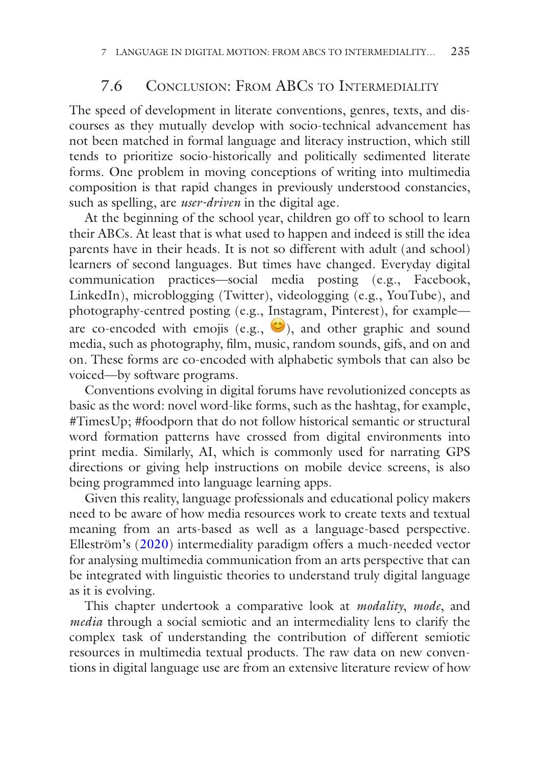## <span id="page-18-0"></span>7.6 Conclusion: From ABCs to Intermediality

The speed of development in literate conventions, genres, texts, and discourses as they mutually develop with socio-technical advancement has not been matched in formal language and literacy instruction, which still tends to prioritize socio-historically and politically sedimented literate forms. One problem in moving conceptions of writing into multimedia composition is that rapid changes in previously understood constancies, such as spelling, are *user-driven* in the digital age.

At the beginning of the school year, children go off to school to learn their ABCs. At least that is what used to happen and indeed is still the idea parents have in their heads. It is not so different with adult (and school) learners of second languages. But times have changed. Everyday digital communication practices—social media posting (e.g., Facebook, LinkedIn), microblogging (Twitter), videologging (e.g., YouTube), and photography-centred posting (e.g., Instagram, Pinterest), for example are co-encoded with emojis (e.g.,  $\bullet$ ), and other graphic and sound media, such as photography, film, music, random sounds, gifs, and on and on. These forms are co-encoded with alphabetic symbols that can also be voiced—by software programs.

Conventions evolving in digital forums have revolutionized concepts as basic as the word: novel word-like forms, such as the hashtag, for example, #TimesUp; #foodporn that do not follow historical semantic or structural word formation patterns have crossed from digital environments into print media. Similarly, AI, which is commonly used for narrating GPS directions or giving help instructions on mobile device screens, is also being programmed into language learning apps.

Given this reality, language professionals and educational policy makers need to be aware of how media resources work to create texts and textual meaning from an arts-based as well as a language-based perspective. Elleström's ([2020](#page-20-8)) intermediality paradigm offers a much-needed vector for analysing multimedia communication from an arts perspective that can be integrated with linguistic theories to understand truly digital language as it is evolving.

This chapter undertook a comparative look at *modality*, *mode*, and *media* through a social semiotic and an intermediality lens to clarify the complex task of understanding the contribution of different semiotic resources in multimedia textual products. The raw data on new conventions in digital language use are from an extensive literature review of how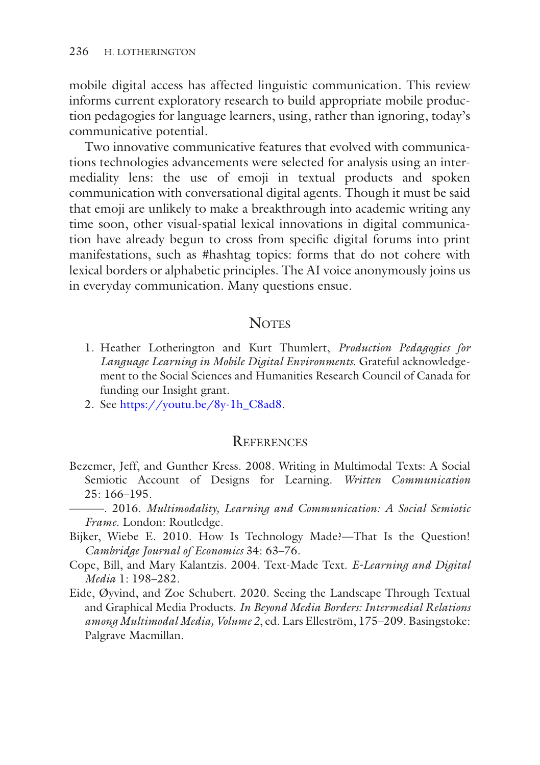mobile digital access has affected linguistic communication. This review informs current exploratory research to build appropriate mobile production pedagogies for language learners, using, rather than ignoring, today's communicative potential.

Two innovative communicative features that evolved with communications technologies advancements were selected for analysis using an intermediality lens: the use of emoji in textual products and spoken communication with conversational digital agents. Though it must be said that emoji are unlikely to make a breakthrough into academic writing any time soon, other visual-spatial lexical innovations in digital communication have already begun to cross from specific digital forums into print manifestations, such as #hashtag topics: forms that do not cohere with lexical borders or alphabetic principles. The AI voice anonymously joins us in everyday communication. Many questions ensue.

## **NOTES**

- <span id="page-19-5"></span>1. Heather Lotherington and Kurt Thumlert, *Production Pedagogies for Language Learning in Mobile Digital Environments*. Grateful acknowledgement to the Social Sciences and Humanities Research Council of Canada for funding our Insight grant.
- <span id="page-19-7"></span>2. See [https://youtu.be/8y-1h\\_C8ad8](https://youtu.be/8y-1h_C8ad8).

#### <span id="page-19-0"></span>**REFERENCES**

- <span id="page-19-1"></span>Bezemer, Jeff, and Gunther Kress. 2008. Writing in Multimodal Texts: A Social Semiotic Account of Designs for Learning. *Written Communication* 25: 166–195.
	- ———. 2016. *Multimodality, Learning and Communication: A Social Semiotic Frame*. London: Routledge.
- <span id="page-19-6"></span><span id="page-19-2"></span>Bijker, Wiebe E. 2010. How Is Technology Made?—That Is the Question! *Cambridge Journal of Economics* 34: 63–76.
- <span id="page-19-4"></span>Cope, Bill, and Mary Kalantzis. 2004. Text-Made Text. *E-Learning and Digital Media* 1: 198–282.
- <span id="page-19-3"></span>Eide, Øyvind, and Zoe Schubert. 2020. Seeing the Landscape Through Textual and Graphical Media Products. *In Beyond Media Borders: Intermedial Relations among Multimodal Media, Volume 2*, ed. Lars Elleström, 175–209. Basingstoke: Palgrave Macmillan.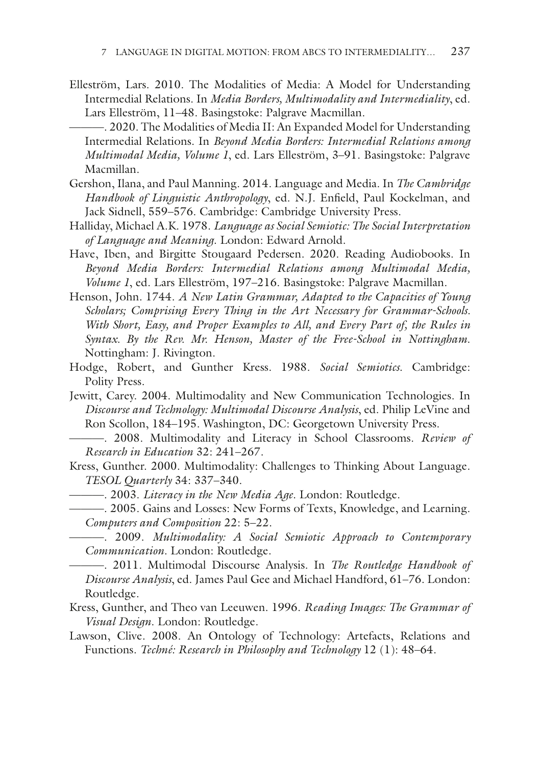<span id="page-20-7"></span>Elleström, Lars. 2010. The Modalities of Media: A Model for Understanding Intermedial Relations. In *Media Borders, Multimodality and Intermediality*, ed. Lars Elleström, 11–48. Basingstoke: Palgrave Macmillan.

<span id="page-20-8"></span>———. 2020. The Modalities of Media II: An Expanded Model for Understanding Intermedial Relations. In *Beyond Media Borders: Intermedial Relations among Multimodal Media, Volume 1*, ed. Lars Elleström, 3–91. Basingstoke: Palgrave Macmillan.

- <span id="page-20-9"></span>Gershon, Ilana, and Paul Manning. 2014. Language and Media. In *The Cambridge Handbook of Linguistic Anthropology*, ed. N.J. Enfield, Paul Kockelman, and Jack Sidnell, 559–576. Cambridge: Cambridge University Press.
- <span id="page-20-12"></span>Halliday, Michael A.K. 1978. *Language as Social Semiotic: The Social Interpretation of Language and Meaning*. London: Edward Arnold.
- <span id="page-20-10"></span>Have, Iben, and Birgitte Stougaard Pedersen. 2020. Reading Audiobooks. In *Beyond Media Borders: Intermedial Relations among Multimodal Media, Volume 1*, ed. Lars Elleström, 197–216. Basingstoke: Palgrave Macmillan.
- <span id="page-20-11"></span>Henson, John. 1744. *A New Latin Grammar, Adapted to the Capacities of Young Scholars; Comprising Every Thing in the Art Necessary for Grammar-Schools. With Short, Easy, and Proper Examples to All, and Every Part of, the Rules in Syntax. By the Rev. Mr. Henson, Master of the Free-School in Nottingham*. Nottingham: J. Rivington.
- <span id="page-20-13"></span>Hodge, Robert, and Gunther Kress. 1988. *Social Semiotics*. Cambridge: Polity Press.
- <span id="page-20-6"></span>Jewitt, Carey. 2004. Multimodality and New Communication Technologies. In *Discourse and Technology: Multimodal Discourse Analysis*, ed. Philip LeVine and Ron Scollon, 184–195. Washington, DC: Georgetown University Press.
	- ———. 2008. Multimodality and Literacy in School Classrooms. *Review of Research in Education* 32: 241–267.
- <span id="page-20-2"></span><span id="page-20-1"></span><span id="page-20-0"></span>Kress, Gunther. 2000. Multimodality: Challenges to Thinking About Language. *TESOL Quarterly* 34: 337–340.
	- ———. 2003. *Literacy in the New Media Age*. London: Routledge.
	- ———. 2005. Gains and Losses: New Forms of Texts, Knowledge, and Learning. *Computers and Composition* 22: 5–22.

<span id="page-20-4"></span><span id="page-20-3"></span>———. 2009. *Multimodality: A Social Semiotic Approach to Contemporary Communication*. London: Routledge.

<span id="page-20-5"></span>———. 2011. Multimodal Discourse Analysis. In *The Routledge Handbook of Discourse Analysis*, ed. James Paul Gee and Michael Handford, 61–76. London: Routledge.

<span id="page-20-15"></span>Kress, Gunther, and Theo van Leeuwen. 1996. *Reading Images: The Grammar of Visual Design*. London: Routledge.

<span id="page-20-14"></span>Lawson, Clive. 2008. An Ontology of Technology: Artefacts, Relations and Functions. *Techné: Research in Philosophy and Technology* 12 (1): 48–64.